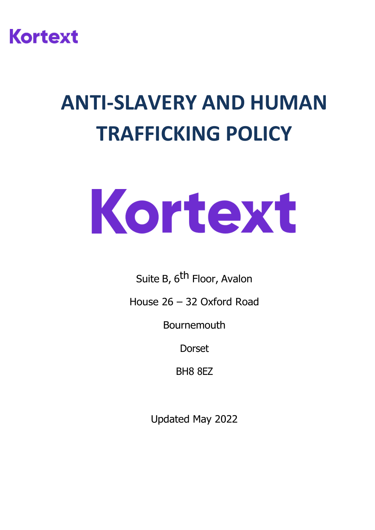

# **ANTI-SLAVERY AND HUMAN TRAFFICKING POLICY**



Suite B, 6<sup>th</sup> Floor, Avalon

House 26 – 32 Oxford Road

Bournemouth

Dorset

BH8 8EZ

Updated May 2022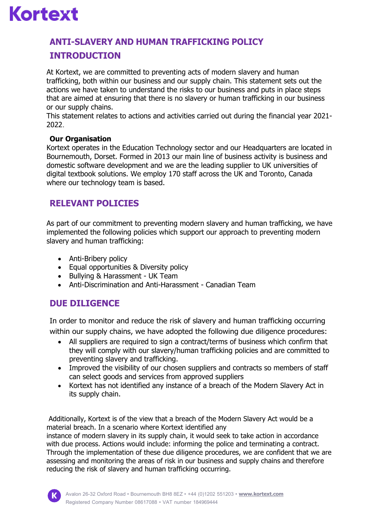

# **ANTI-SLAVERY AND HUMAN TRAFFICKING POLICY**

# **INTRODUCTION**

At Kortext, we are committed to preventing acts of modern slavery and human trafficking, both within our business and our supply chain. This statement sets out the actions we have taken to understand the risks to our business and puts in place steps that are aimed at ensuring that there is no slavery or human trafficking in our business or our supply chains.

This statement relates to actions and activities carried out during the financial year 2021- 2022.

#### **Our Organisation**

Kortext operates in the Education Technology sector and our Headquarters are located in Bournemouth, Dorset. Formed in 2013 our main line of business activity is business and domestic software development and we are the leading supplier to UK universities of digital textbook solutions. We employ 170 staff across the UK and Toronto, Canada where our technology team is based.

## **RELEVANT POLICIES**

As part of our commitment to preventing modern slavery and human trafficking, we have implemented the following policies which support our approach to preventing modern slavery and human trafficking:

- Anti-Bribery policy
- Equal opportunities & Diversity policy
- Bullying & Harassment UK Team
- Anti-Discrimination and Anti-Harassment Canadian Team

## **DUE DILIGENCE**

In order to monitor and reduce the risk of slavery and human trafficking occurring within our supply chains, we have adopted the following due diligence procedures:

- All suppliers are required to sign a contract/terms of business which confirm that they will comply with our slavery/human trafficking policies and are committed to preventing slavery and trafficking.
- Improved the visibility of our chosen suppliers and contracts so members of staff can select goods and services from approved suppliers
- Kortext has not identified any instance of a breach of the Modern Slavery Act in its supply chain.

Additionally, Kortext is of the view that a breach of the Modern Slavery Act would be a material breach. In a scenario where Kortext identified any

instance of modern slavery in its supply chain, it would seek to take action in accordance with due process. Actions would include: informing the police and terminating a contract. Through the implementation of these due diligence procedures, we are confident that we are assessing and monitoring the areas of risk in our business and supply chains and therefore reducing the risk of slavery and human trafficking occurring.

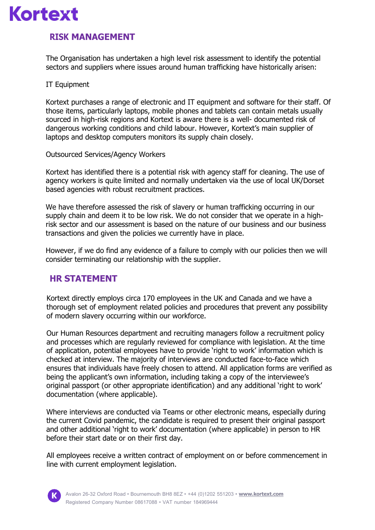

# **RISK MANAGEMENT**

The Organisation has undertaken a high level risk assessment to identify the potential sectors and suppliers where issues around human trafficking have historically arisen:

#### IT Equipment

Kortext purchases a range of electronic and IT equipment and software for their staff. Of those items, particularly laptops, mobile phones and tablets can contain metals usually sourced in high-risk regions and Kortext is aware there is a well- documented risk of dangerous working conditions and child labour. However, Kortext's main supplier of laptops and desktop computers monitors its supply chain closely.

#### Outsourced Services/Agency Workers

Kortext has identified there is a potential risk with agency staff for cleaning. The use of agency workers is quite limited and normally undertaken via the use of local UK/Dorset based agencies with robust recruitment practices.

We have therefore assessed the risk of slavery or human trafficking occurring in our supply chain and deem it to be low risk. We do not consider that we operate in a highrisk sector and our assessment is based on the nature of our business and our business transactions and given the policies we currently have in place.

However, if we do find any evidence of a failure to comply with our policies then we will consider terminating our relationship with the supplier.

## **HR STATEMENT**

Kortext directly employs circa 170 employees in the UK and Canada and we have a thorough set of employment related policies and procedures that prevent any possibility of modern slavery occurring within our workforce.

Our Human Resources department and recruiting managers follow a recruitment policy and processes which are regularly reviewed for compliance with legislation. At the time of application, potential employees have to provide 'right to work' information which is checked at interview. The majority of interviews are conducted face-to-face which ensures that individuals have freely chosen to attend. All application forms are verified as being the applicant's own information, including taking a copy of the interviewee's original passport (or other appropriate identification) and any additional 'right to work' documentation (where applicable).

Where interviews are conducted via Teams or other electronic means, especially during the current Covid pandemic, the candidate is required to present their original passport and other additional 'right to work' documentation (where applicable) in person to HR before their start date or on their first day.

All employees receive a written contract of employment on or before commencement in line with current employment legislation.